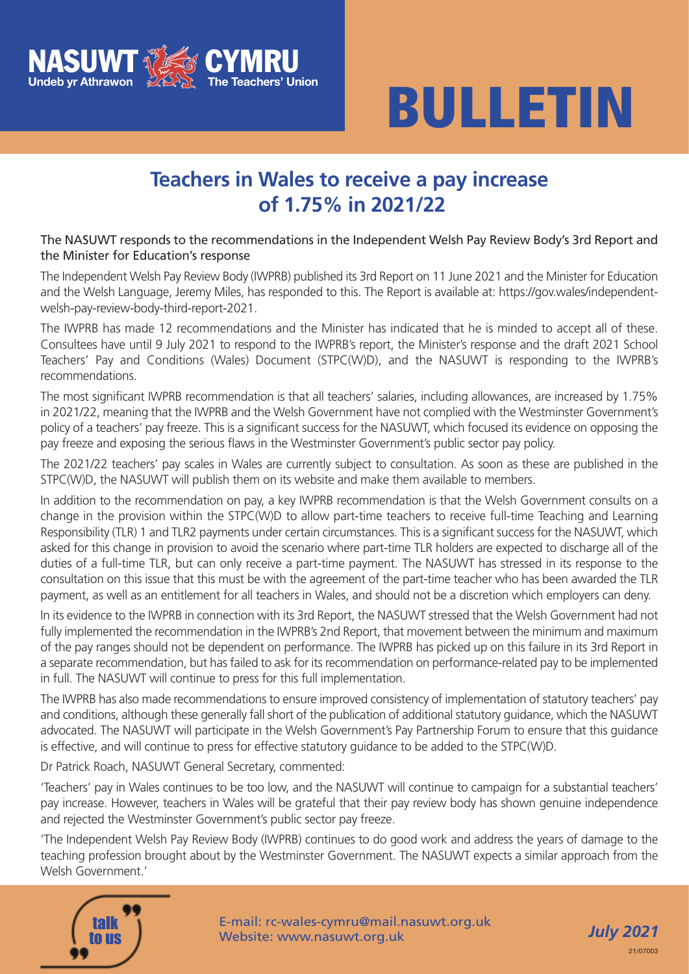



### **Teachers in Wales to receive a pay increase of 1.75% in 2021/22**

#### The NASUWT responds to the recommendations in the Independent Welsh Pay Review Body's 3rd Report and the Minister for Education's response

The Independent Welsh Pay Review Body (IWPRB) published its 3rd Report on 11 June 2021 and the Minister for Education and the Welsh Language, Jeremy Miles, has responded to this. The Report is available at: https://gov.wales/independentwelsh-pay-review-body-third-report-2021.

The IWPRB has made 12 recommendations and the Minister has indicated that he is minded to accept all of these. Consultees have until 9 July 2021 to respond to the IWPRB's report, the Minister's response and the draft 2021 School Teachers' Pay and Conditions (Wales) Document (STPC(W)D), and the NASUWT is responding to the IWPRB's recommendations.

The most significant IWPRB recommendation is that all teachers' salaries, including allowances, are increased by 1.75% in 2021/22, meaning that the IWPRB and the Welsh Government have not complied with the Westminster Government's policy of a teachers' pay freeze. This is a significant success for the NASUWT, which focused its evidence on opposing the pay freeze and exposing the serious flaws in the Westminster Government's public sector pay policy.

The 2021/22 teachers' pay scales in Wales are currently subject to consultation. As soon as these are published in the STPC(W)D, the NASUWT will publish them on its website and make them available to members.

In addition to the recommendation on pay, a key IWPRB recommendation is that the Welsh Government consults on a change in the provision within the STPC(W)D to allow part-time teachers to receive full-time Teaching and Learning Responsibility (TLR) 1 and TLR2 payments under certain circumstances. This is a significant success for the NASUWT, which asked for this change in provision to avoid the scenario where part-time TLR holders are expected to discharge all of the duties of a full-time TLR, but can only receive a part-time payment. The NASUWT has stressed in its response to the consultation on this issue that this must be with the agreement of the part-time teacher who has been awarded the TLR payment, as well as an entitlement for all teachers in Wales, and should not be a discretion which employers can deny.

In its evidence to the IWPRB in connection with its 3rd Report, the NASUWT stressed that the Welsh Government had not fully implemented the recommendation in the IWPRB's 2nd Report, that movement between the minimum and maximum of the pay ranges should not be dependent on performance. The IWPRB has picked up on this failure in its 3rd Report in a separate recommendation, but has failed to ask for its recommendation on performance-related pay to be implemented in full. The NASUWT will continue to press for this full implementation.

The IWPRB has also made recommendations to ensure improved consistency of implementation of statutory teachers' pay and conditions, although these generally fall short of the publication of additional statutory guidance, which the NASUWT advocated. The NASUWT will participate in the Welsh Government's Pay Partnership Forum to ensure that this guidance is effective, and will continue to press for effective statutory guidance to be added to the STPC(W)D.

Dr Patrick Roach, NASUWT General Secretary, commented:

'Teachers' pay in Wales continues to be too low, and the NASUWT will continue to campaign for a substantial teachers' pay increase. However, teachers in Wales will be grateful that their pay review body has shown genuine independence and rejected the Westminster Government's public sector pay freeze.

'The Independent Welsh Pay Review Body (IWPRB) continues to do good work and address the years of damage to the teaching profession brought about by the Westminster Government. The NASUWT expects a similar approach from the Welsh Government<sup>'</sup>



E-mail: rc-wales-cymru@mail.nasuwt.org.uk Website: www.nasuwt.org.uk

*July 2021* 21/07003